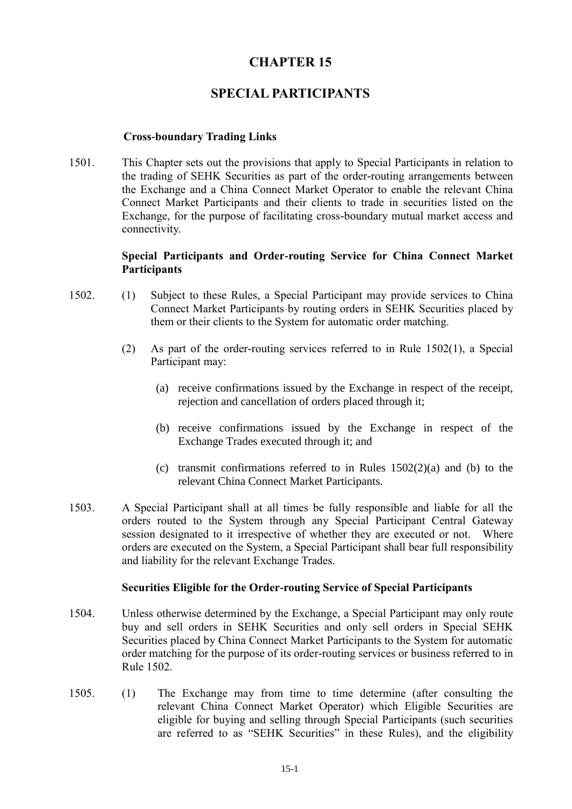# **CHAPTER 15**

# **SPECIAL PARTICIPANTS**

#### **Cross-boundary Trading Links**

1501. This Chapter sets out the provisions that apply to Special Participants in relation to the trading of SEHK Securities as part of the order-routing arrangements between the Exchange and a China Connect Market Operator to enable the relevant China Connect Market Participants and their clients to trade in securities listed on the Exchange, for the purpose of facilitating cross-boundary mutual market access and connectivity.

## **Special Participants and Order-routing Service for China Connect Market Participants**

- 1502. (1) Subject to these Rules, a Special Participant may provide services to China Connect Market Participants by routing orders in SEHK Securities placed by them or their clients to the System for automatic order matching.
	- (2) As part of the order-routing services referred to in Rule 1502(1), a Special Participant may:
		- (a) receive confirmations issued by the Exchange in respect of the receipt, rejection and cancellation of orders placed through it;
		- (b) receive confirmations issued by the Exchange in respect of the Exchange Trades executed through it; and
		- (c) transmit confirmations referred to in Rules  $1502(2)(a)$  and (b) to the relevant China Connect Market Participants.
- 1503. A Special Participant shall at all times be fully responsible and liable for all the orders routed to the System through any Special Participant Central Gateway session designated to it irrespective of whether they are executed or not. Where orders are executed on the System, a Special Participant shall bear full responsibility and liability for the relevant Exchange Trades.

#### **Securities Eligible for the Order-routing Service of Special Participants**

- 1504. Unless otherwise determined by the Exchange, a Special Participant may only route buy and sell orders in SEHK Securities and only sell orders in Special SEHK Securities placed by China Connect Market Participants to the System for automatic order matching for the purpose of its order-routing services or business referred to in Rule 1502.
- 1505. (1) The Exchange may from time to time determine (after consulting the relevant China Connect Market Operator) which Eligible Securities are eligible for buying and selling through Special Participants (such securities are referred to as "SEHK Securities" in these Rules), and the eligibility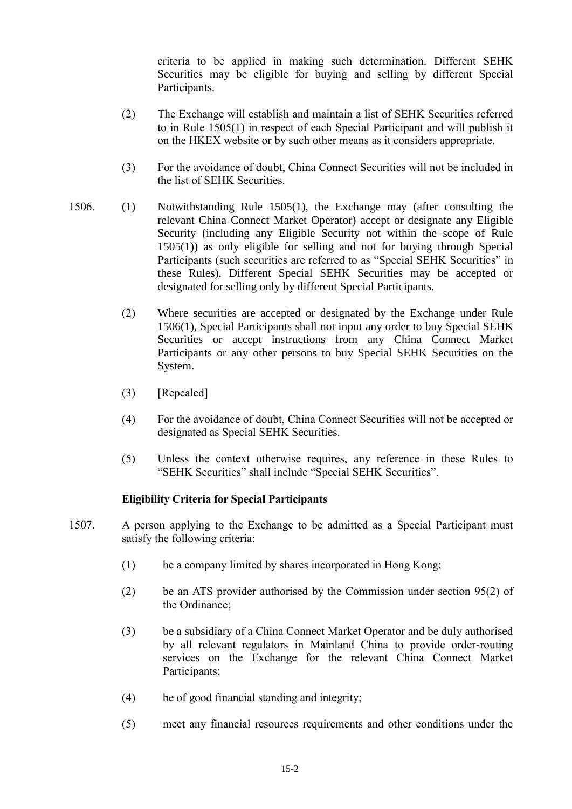criteria to be applied in making such determination. Different SEHK Securities may be eligible for buying and selling by different Special Participants.

- (2) The Exchange will establish and maintain a list of SEHK Securities referred to in Rule 1505(1) in respect of each Special Participant and will publish it on the HKEX website or by such other means as it considers appropriate.
- (3) For the avoidance of doubt, China Connect Securities will not be included in the list of SEHK Securities.
- 1506. (1) Notwithstanding Rule 1505(1), the Exchange may (after consulting the relevant China Connect Market Operator) accept or designate any Eligible Security (including any Eligible Security not within the scope of Rule 1505(1)) as only eligible for selling and not for buying through Special Participants (such securities are referred to as "Special SEHK Securities" in these Rules). Different Special SEHK Securities may be accepted or designated for selling only by different Special Participants.
	- (2) Where securities are accepted or designated by the Exchange under Rule 1506(1), Special Participants shall not input any order to buy Special SEHK Securities or accept instructions from any China Connect Market Participants or any other persons to buy Special SEHK Securities on the System.
	- (3) [Repealed]
	- (4) For the avoidance of doubt, China Connect Securities will not be accepted or designated as Special SEHK Securities.
	- (5) Unless the context otherwise requires, any reference in these Rules to "SEHK Securities" shall include "Special SEHK Securities".

#### **Eligibility Criteria for Special Participants**

- 1507. A person applying to the Exchange to be admitted as a Special Participant must satisfy the following criteria:
	- (1) be a company limited by shares incorporated in Hong Kong;
	- (2) be an ATS provider authorised by the Commission under section 95(2) of the Ordinance;
	- (3) be a subsidiary of a China Connect Market Operator and be duly authorised by all relevant regulators in Mainland China to provide order-routing services on the Exchange for the relevant China Connect Market Participants;
	- (4) be of good financial standing and integrity;
	- (5) meet any financial resources requirements and other conditions under the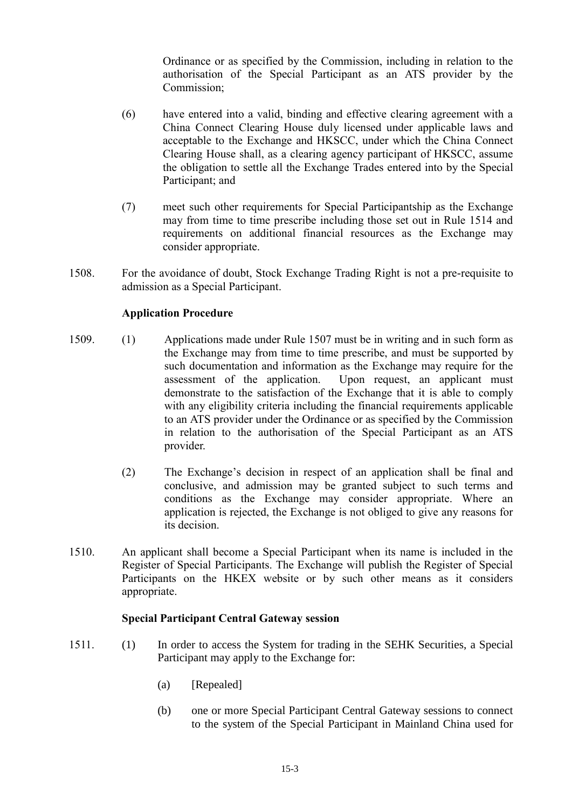Ordinance or as specified by the Commission, including in relation to the authorisation of the Special Participant as an ATS provider by the Commission;

- (6) have entered into a valid, binding and effective clearing agreement with a China Connect Clearing House duly licensed under applicable laws and acceptable to the Exchange and HKSCC, under which the China Connect Clearing House shall, as a clearing agency participant of HKSCC, assume the obligation to settle all the Exchange Trades entered into by the Special Participant; and
- (7) meet such other requirements for Special Participantship as the Exchange may from time to time prescribe including those set out in Rule 1514 and requirements on additional financial resources as the Exchange may consider appropriate.
- 1508. For the avoidance of doubt, Stock Exchange Trading Right is not a pre-requisite to admission as a Special Participant.

#### **Application Procedure**

- 1509. (1) Applications made under Rule 1507 must be in writing and in such form as the Exchange may from time to time prescribe, and must be supported by such documentation and information as the Exchange may require for the assessment of the application. Upon request, an applicant must demonstrate to the satisfaction of the Exchange that it is able to comply with any eligibility criteria including the financial requirements applicable to an ATS provider under the Ordinance or as specified by the Commission in relation to the authorisation of the Special Participant as an ATS provider.
	- (2) The Exchange's decision in respect of an application shall be final and conclusive, and admission may be granted subject to such terms and conditions as the Exchange may consider appropriate. Where an application is rejected, the Exchange is not obliged to give any reasons for its decision.
- 1510. An applicant shall become a Special Participant when its name is included in the Register of Special Participants. The Exchange will publish the Register of Special Participants on the HKEX website or by such other means as it considers appropriate.

#### **Special Participant Central Gateway session**

- 1511. (1) In order to access the System for trading in the SEHK Securities, a Special Participant may apply to the Exchange for:
	- (a) [Repealed]
	- (b) one or more Special Participant Central Gateway sessions to connect to the system of the Special Participant in Mainland China used for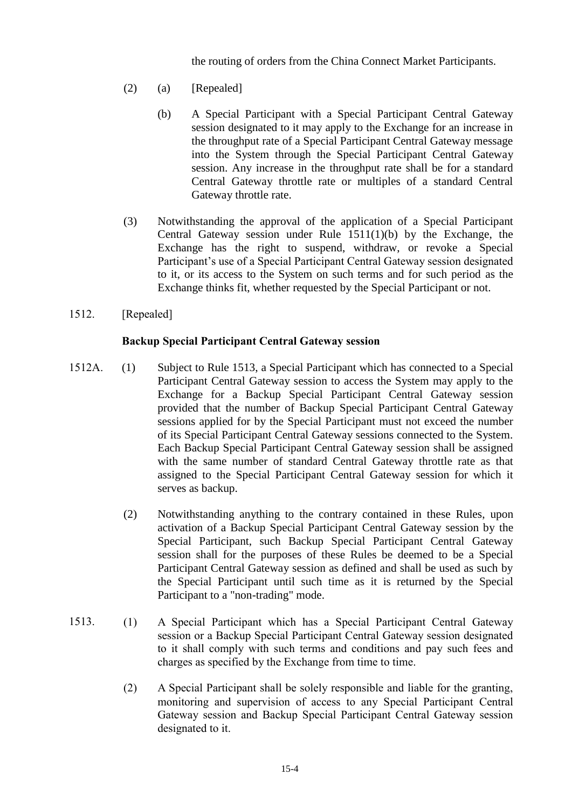the routing of orders from the China Connect Market Participants.

- (2) (a) [Repealed]
	- (b) A Special Participant with a Special Participant Central Gateway session designated to it may apply to the Exchange for an increase in the throughput rate of a Special Participant Central Gateway message into the System through the Special Participant Central Gateway session. Any increase in the throughput rate shall be for a standard Central Gateway throttle rate or multiples of a standard Central Gateway throttle rate.
- (3) Notwithstanding the approval of the application of a Special Participant Central Gateway session under Rule 1511(1)(b) by the Exchange, the Exchange has the right to suspend, withdraw, or revoke a Special Participant's use of a Special Participant Central Gateway session designated to it, or its access to the System on such terms and for such period as the Exchange thinks fit, whether requested by the Special Participant or not.
- 1512. [Repealed]

# **Backup Special Participant Central Gateway session**

- 1512A. (1) Subject to Rule 1513, a Special Participant which has connected to a Special Participant Central Gateway session to access the System may apply to the Exchange for a Backup Special Participant Central Gateway session provided that the number of Backup Special Participant Central Gateway sessions applied for by the Special Participant must not exceed the number of its Special Participant Central Gateway sessions connected to the System. Each Backup Special Participant Central Gateway session shall be assigned with the same number of standard Central Gateway throttle rate as that assigned to the Special Participant Central Gateway session for which it serves as backup.
	- (2) Notwithstanding anything to the contrary contained in these Rules, upon activation of a Backup Special Participant Central Gateway session by the Special Participant, such Backup Special Participant Central Gateway session shall for the purposes of these Rules be deemed to be a Special Participant Central Gateway session as defined and shall be used as such by the Special Participant until such time as it is returned by the Special Participant to a "non-trading" mode.
- 1513. (1) A Special Participant which has a Special Participant Central Gateway session or a Backup Special Participant Central Gateway session designated to it shall comply with such terms and conditions and pay such fees and charges as specified by the Exchange from time to time.
	- (2) A Special Participant shall be solely responsible and liable for the granting, monitoring and supervision of access to any Special Participant Central Gateway session and Backup Special Participant Central Gateway session designated to it.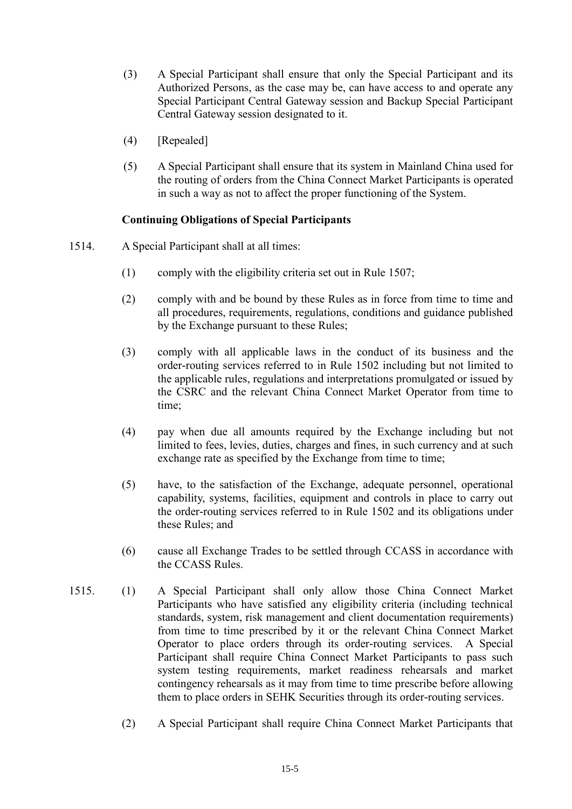- (3) A Special Participant shall ensure that only the Special Participant and its Authorized Persons, as the case may be, can have access to and operate any Special Participant Central Gateway session and Backup Special Participant Central Gateway session designated to it.
- (4) [Repealed]
- (5) A Special Participant shall ensure that its system in Mainland China used for the routing of orders from the China Connect Market Participants is operated in such a way as not to affect the proper functioning of the System.

## **Continuing Obligations of Special Participants**

- 1514. A Special Participant shall at all times:
	- (1) comply with the eligibility criteria set out in Rule 1507;
	- (2) comply with and be bound by these Rules as in force from time to time and all procedures, requirements, regulations, conditions and guidance published by the Exchange pursuant to these Rules;
	- (3) comply with all applicable laws in the conduct of its business and the order-routing services referred to in Rule 1502 including but not limited to the applicable rules, regulations and interpretations promulgated or issued by the CSRC and the relevant China Connect Market Operator from time to time;
	- (4) pay when due all amounts required by the Exchange including but not limited to fees, levies, duties, charges and fines, in such currency and at such exchange rate as specified by the Exchange from time to time;
	- (5) have, to the satisfaction of the Exchange, adequate personnel, operational capability, systems, facilities, equipment and controls in place to carry out the order-routing services referred to in Rule 1502 and its obligations under these Rules; and
	- (6) cause all Exchange Trades to be settled through CCASS in accordance with the CCASS Rules.
- 1515. (1) A Special Participant shall only allow those China Connect Market Participants who have satisfied any eligibility criteria (including technical standards, system, risk management and client documentation requirements) from time to time prescribed by it or the relevant China Connect Market Operator to place orders through its order-routing services. A Special Participant shall require China Connect Market Participants to pass such system testing requirements, market readiness rehearsals and market contingency rehearsals as it may from time to time prescribe before allowing them to place orders in SEHK Securities through its order-routing services.
	- (2) A Special Participant shall require China Connect Market Participants that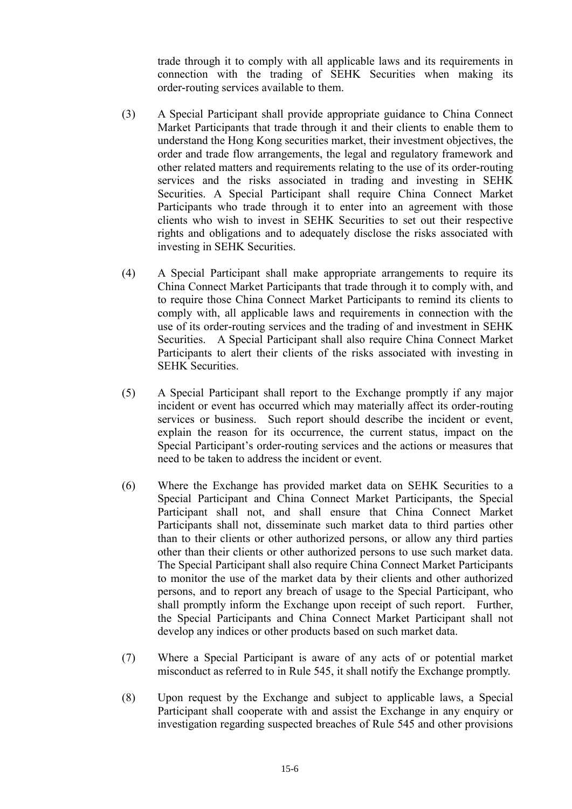trade through it to comply with all applicable laws and its requirements in connection with the trading of SEHK Securities when making its order-routing services available to them.

- (3) A Special Participant shall provide appropriate guidance to China Connect Market Participants that trade through it and their clients to enable them to understand the Hong Kong securities market, their investment objectives, the order and trade flow arrangements, the legal and regulatory framework and other related matters and requirements relating to the use of its order-routing services and the risks associated in trading and investing in SEHK Securities. A Special Participant shall require China Connect Market Participants who trade through it to enter into an agreement with those clients who wish to invest in SEHK Securities to set out their respective rights and obligations and to adequately disclose the risks associated with investing in SEHK Securities.
- (4) A Special Participant shall make appropriate arrangements to require its China Connect Market Participants that trade through it to comply with, and to require those China Connect Market Participants to remind its clients to comply with, all applicable laws and requirements in connection with the use of its order-routing services and the trading of and investment in SEHK Securities. A Special Participant shall also require China Connect Market Participants to alert their clients of the risks associated with investing in SEHK Securities.
- (5) A Special Participant shall report to the Exchange promptly if any major incident or event has occurred which may materially affect its order-routing services or business. Such report should describe the incident or event, explain the reason for its occurrence, the current status, impact on the Special Participant's order-routing services and the actions or measures that need to be taken to address the incident or event.
- (6) Where the Exchange has provided market data on SEHK Securities to a Special Participant and China Connect Market Participants, the Special Participant shall not, and shall ensure that China Connect Market Participants shall not, disseminate such market data to third parties other than to their clients or other authorized persons, or allow any third parties other than their clients or other authorized persons to use such market data. The Special Participant shall also require China Connect Market Participants to monitor the use of the market data by their clients and other authorized persons, and to report any breach of usage to the Special Participant, who shall promptly inform the Exchange upon receipt of such report. Further, the Special Participants and China Connect Market Participant shall not develop any indices or other products based on such market data.
- (7) Where a Special Participant is aware of any acts of or potential market misconduct as referred to in Rule 545, it shall notify the Exchange promptly.
- (8) Upon request by the Exchange and subject to applicable laws, a Special Participant shall cooperate with and assist the Exchange in any enquiry or investigation regarding suspected breaches of Rule 545 and other provisions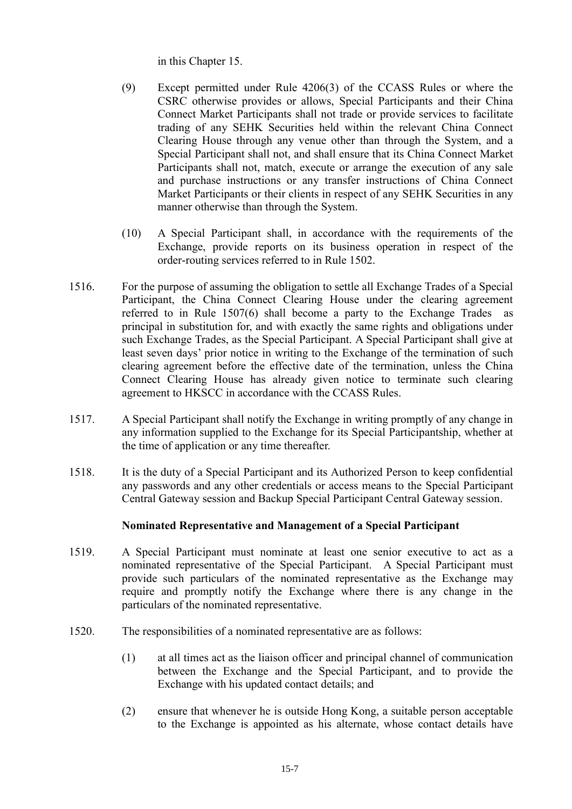in this Chapter 15.

- (9) Except permitted under Rule 4206(3) of the CCASS Rules or where the CSRC otherwise provides or allows, Special Participants and their China Connect Market Participants shall not trade or provide services to facilitate trading of any SEHK Securities held within the relevant China Connect Clearing House through any venue other than through the System, and a Special Participant shall not, and shall ensure that its China Connect Market Participants shall not, match, execute or arrange the execution of any sale and purchase instructions or any transfer instructions of China Connect Market Participants or their clients in respect of any SEHK Securities in any manner otherwise than through the System.
- (10) A Special Participant shall, in accordance with the requirements of the Exchange, provide reports on its business operation in respect of the order-routing services referred to in Rule 1502.
- 1516. For the purpose of assuming the obligation to settle all Exchange Trades of a Special Participant, the China Connect Clearing House under the clearing agreement referred to in Rule 1507(6) shall become a party to the Exchange Trades as principal in substitution for, and with exactly the same rights and obligations under such Exchange Trades, as the Special Participant. A Special Participant shall give at least seven days' prior notice in writing to the Exchange of the termination of such clearing agreement before the effective date of the termination, unless the China Connect Clearing House has already given notice to terminate such clearing agreement to HKSCC in accordance with the CCASS Rules.
- 1517. A Special Participant shall notify the Exchange in writing promptly of any change in any information supplied to the Exchange for its Special Participantship, whether at the time of application or any time thereafter.
- 1518. It is the duty of a Special Participant and its Authorized Person to keep confidential any passwords and any other credentials or access means to the Special Participant Central Gateway session and Backup Special Participant Central Gateway session.

# **Nominated Representative and Management of a Special Participant**

- 1519. A Special Participant must nominate at least one senior executive to act as a nominated representative of the Special Participant. A Special Participant must provide such particulars of the nominated representative as the Exchange may require and promptly notify the Exchange where there is any change in the particulars of the nominated representative.
- 1520. The responsibilities of a nominated representative are as follows:
	- (1) at all times act as the liaison officer and principal channel of communication between the Exchange and the Special Participant, and to provide the Exchange with his updated contact details; and
	- (2) ensure that whenever he is outside Hong Kong, a suitable person acceptable to the Exchange is appointed as his alternate, whose contact details have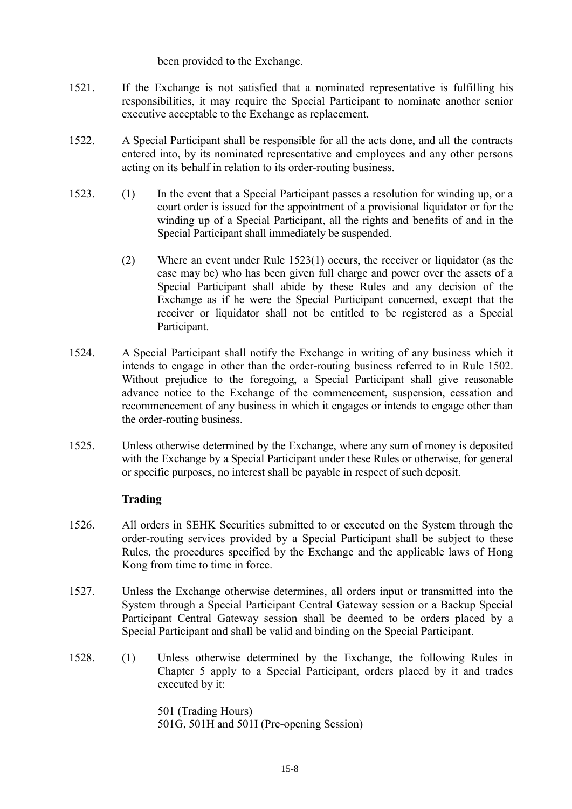been provided to the Exchange.

- 1521. If the Exchange is not satisfied that a nominated representative is fulfilling his responsibilities, it may require the Special Participant to nominate another senior executive acceptable to the Exchange as replacement.
- 1522. A Special Participant shall be responsible for all the acts done, and all the contracts entered into, by its nominated representative and employees and any other persons acting on its behalf in relation to its order-routing business.
- 1523. (1) In the event that a Special Participant passes a resolution for winding up, or a court order is issued for the appointment of a provisional liquidator or for the winding up of a Special Participant, all the rights and benefits of and in the Special Participant shall immediately be suspended.
	- (2) Where an event under Rule 1523(1) occurs, the receiver or liquidator (as the case may be) who has been given full charge and power over the assets of a Special Participant shall abide by these Rules and any decision of the Exchange as if he were the Special Participant concerned, except that the receiver or liquidator shall not be entitled to be registered as a Special Participant.
- 1524. A Special Participant shall notify the Exchange in writing of any business which it intends to engage in other than the order-routing business referred to in Rule 1502. Without prejudice to the foregoing, a Special Participant shall give reasonable advance notice to the Exchange of the commencement, suspension, cessation and recommencement of any business in which it engages or intends to engage other than the order-routing business.
- 1525. Unless otherwise determined by the Exchange, where any sum of money is deposited with the Exchange by a Special Participant under these Rules or otherwise, for general or specific purposes, no interest shall be payable in respect of such deposit.

# **Trading**

- 1526. All orders in SEHK Securities submitted to or executed on the System through the order-routing services provided by a Special Participant shall be subject to these Rules, the procedures specified by the Exchange and the applicable laws of Hong Kong from time to time in force.
- 1527. Unless the Exchange otherwise determines, all orders input or transmitted into the System through a Special Participant Central Gateway session or a Backup Special Participant Central Gateway session shall be deemed to be orders placed by a Special Participant and shall be valid and binding on the Special Participant.
- 1528. (1) Unless otherwise determined by the Exchange, the following Rules in Chapter 5 apply to a Special Participant, orders placed by it and trades executed by it:

501 (Trading Hours) 501G, 501H and 501I (Pre-opening Session)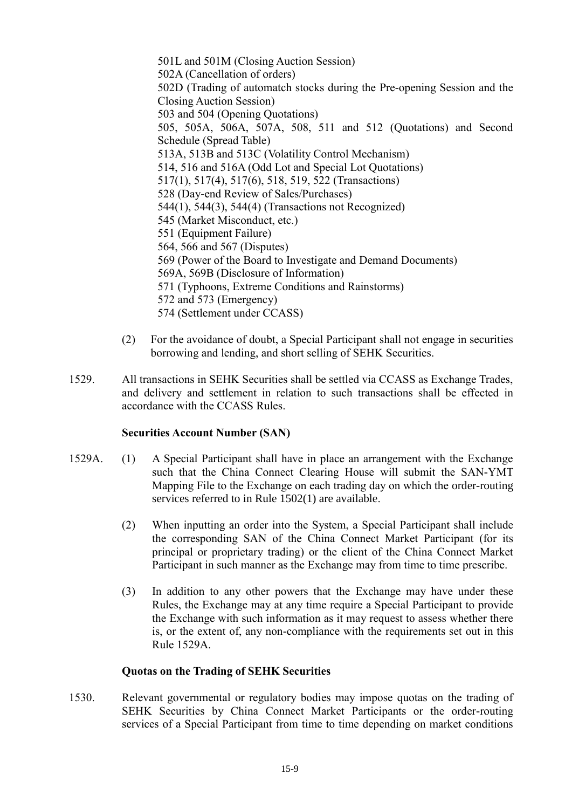501L and 501M (Closing Auction Session) 502A (Cancellation of orders) 502D (Trading of automatch stocks during the Pre-opening Session and the Closing Auction Session) 503 and 504 (Opening Quotations) 505, 505A, 506A, 507A, 508, 511 and 512 (Quotations) and Second Schedule (Spread Table) 513A, 513B and 513C (Volatility Control Mechanism) 514, 516 and 516A (Odd Lot and Special Lot Quotations) 517(1), 517(4), 517(6), 518, 519, 522 (Transactions) 528 (Day-end Review of Sales/Purchases) 544(1), 544(3), 544(4) (Transactions not Recognized) 545 (Market Misconduct, etc.) 551 (Equipment Failure) 564, 566 and 567 (Disputes) 569 (Power of the Board to Investigate and Demand Documents) 569A, 569B (Disclosure of Information) 571 (Typhoons, Extreme Conditions and Rainstorms) 572 and 573 (Emergency) 574 (Settlement under CCASS)

- (2) For the avoidance of doubt, a Special Participant shall not engage in securities borrowing and lending, and short selling of SEHK Securities.
- 1529. All transactions in SEHK Securities shall be settled via CCASS as Exchange Trades, and delivery and settlement in relation to such transactions shall be effected in accordance with the CCASS Rules.

#### **Securities Account Number (SAN)**

- 1529A. (1) A Special Participant shall have in place an arrangement with the Exchange such that the China Connect Clearing House will submit the SAN-YMT Mapping File to the Exchange on each trading day on which the order-routing services referred to in Rule 1502(1) are available.
	- (2) When inputting an order into the System, a Special Participant shall include the corresponding SAN of the China Connect Market Participant (for its principal or proprietary trading) or the client of the China Connect Market Participant in such manner as the Exchange may from time to time prescribe.
	- (3) In addition to any other powers that the Exchange may have under these Rules, the Exchange may at any time require a Special Participant to provide the Exchange with such information as it may request to assess whether there is, or the extent of, any non-compliance with the requirements set out in this Rule 1529A.

#### **Quotas on the Trading of SEHK Securities**

1530. Relevant governmental or regulatory bodies may impose quotas on the trading of SEHK Securities by China Connect Market Participants or the order-routing services of a Special Participant from time to time depending on market conditions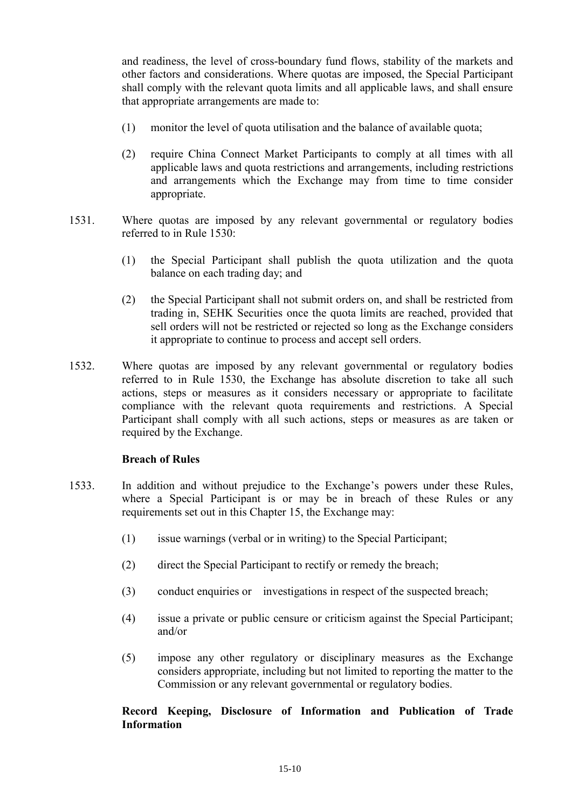and readiness, the level of cross-boundary fund flows, stability of the markets and other factors and considerations. Where quotas are imposed, the Special Participant shall comply with the relevant quota limits and all applicable laws, and shall ensure that appropriate arrangements are made to:

- (1) monitor the level of quota utilisation and the balance of available quota;
- (2) require China Connect Market Participants to comply at all times with all applicable laws and quota restrictions and arrangements, including restrictions and arrangements which the Exchange may from time to time consider appropriate.
- 1531. Where quotas are imposed by any relevant governmental or regulatory bodies referred to in Rule 1530:
	- (1) the Special Participant shall publish the quota utilization and the quota balance on each trading day; and
	- (2) the Special Participant shall not submit orders on, and shall be restricted from trading in, SEHK Securities once the quota limits are reached, provided that sell orders will not be restricted or rejected so long as the Exchange considers it appropriate to continue to process and accept sell orders.
- 1532. Where quotas are imposed by any relevant governmental or regulatory bodies referred to in Rule 1530, the Exchange has absolute discretion to take all such actions, steps or measures as it considers necessary or appropriate to facilitate compliance with the relevant quota requirements and restrictions. A Special Participant shall comply with all such actions, steps or measures as are taken or required by the Exchange.

#### **Breach of Rules**

- 1533. In addition and without prejudice to the Exchange's powers under these Rules, where a Special Participant is or may be in breach of these Rules or any requirements set out in this Chapter 15, the Exchange may:
	- (1) issue warnings (verbal or in writing) to the Special Participant;
	- (2) direct the Special Participant to rectify or remedy the breach;
	- (3) conduct enquiries or investigations in respect of the suspected breach;
	- (4) issue a private or public censure or criticism against the Special Participant; and/or
	- (5) impose any other regulatory or disciplinary measures as the Exchange considers appropriate, including but not limited to reporting the matter to the Commission or any relevant governmental or regulatory bodies.

# **Record Keeping, Disclosure of Information and Publication of Trade Information**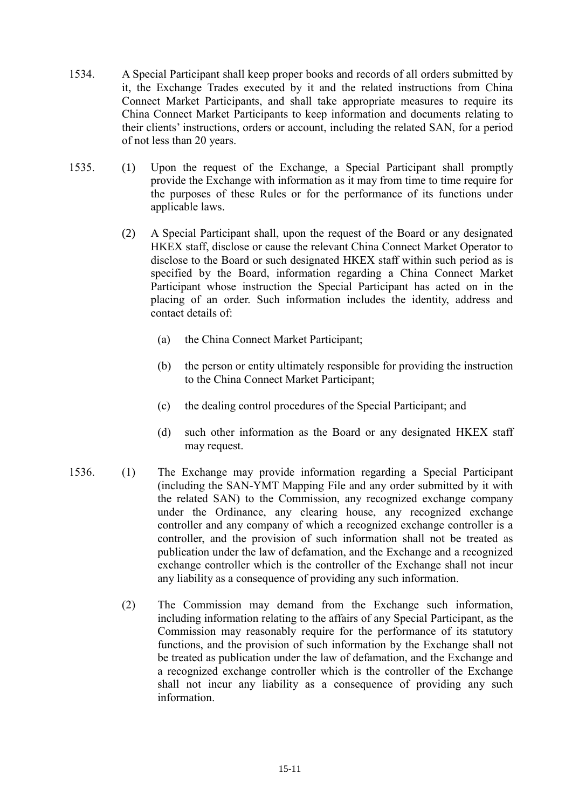- 1534. A Special Participant shall keep proper books and records of all orders submitted by it, the Exchange Trades executed by it and the related instructions from China Connect Market Participants, and shall take appropriate measures to require its China Connect Market Participants to keep information and documents relating to their clients' instructions, orders or account, including the related SAN, for a period of not less than 20 years.
- 1535. (1) Upon the request of the Exchange, a Special Participant shall promptly provide the Exchange with information as it may from time to time require for the purposes of these Rules or for the performance of its functions under applicable laws.
	- (2) A Special Participant shall, upon the request of the Board or any designated HKEX staff, disclose or cause the relevant China Connect Market Operator to disclose to the Board or such designated HKEX staff within such period as is specified by the Board, information regarding a China Connect Market Participant whose instruction the Special Participant has acted on in the placing of an order. Such information includes the identity, address and contact details of:
		- (a) the China Connect Market Participant;
		- (b) the person or entity ultimately responsible for providing the instruction to the China Connect Market Participant;
		- (c) the dealing control procedures of the Special Participant; and
		- (d) such other information as the Board or any designated HKEX staff may request.
- 1536. (1) The Exchange may provide information regarding a Special Participant (including the SAN-YMT Mapping File and any order submitted by it with the related SAN) to the Commission, any recognized exchange company under the Ordinance, any clearing house, any recognized exchange controller and any company of which a recognized exchange controller is a controller, and the provision of such information shall not be treated as publication under the law of defamation, and the Exchange and a recognized exchange controller which is the controller of the Exchange shall not incur any liability as a consequence of providing any such information.
	- (2) The Commission may demand from the Exchange such information, including information relating to the affairs of any Special Participant, as the Commission may reasonably require for the performance of its statutory functions, and the provision of such information by the Exchange shall not be treated as publication under the law of defamation, and the Exchange and a recognized exchange controller which is the controller of the Exchange shall not incur any liability as a consequence of providing any such information.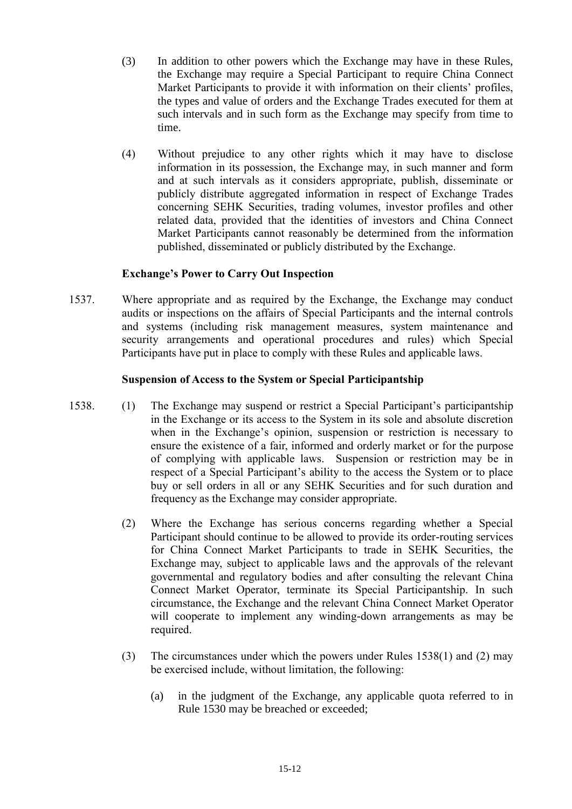- (3) In addition to other powers which the Exchange may have in these Rules, the Exchange may require a Special Participant to require China Connect Market Participants to provide it with information on their clients' profiles, the types and value of orders and the Exchange Trades executed for them at such intervals and in such form as the Exchange may specify from time to time.
- (4) Without prejudice to any other rights which it may have to disclose information in its possession, the Exchange may, in such manner and form and at such intervals as it considers appropriate, publish, disseminate or publicly distribute aggregated information in respect of Exchange Trades concerning SEHK Securities, trading volumes, investor profiles and other related data, provided that the identities of investors and China Connect Market Participants cannot reasonably be determined from the information published, disseminated or publicly distributed by the Exchange.

#### **Exchange's Power to Carry Out Inspection**

1537. Where appropriate and as required by the Exchange, the Exchange may conduct audits or inspections on the affairs of Special Participants and the internal controls and systems (including risk management measures, system maintenance and security arrangements and operational procedures and rules) which Special Participants have put in place to comply with these Rules and applicable laws.

## **Suspension of Access to the System or Special Participantship**

- 1538. (1) The Exchange may suspend or restrict a Special Participant's participantship in the Exchange or its access to the System in its sole and absolute discretion when in the Exchange's opinion, suspension or restriction is necessary to ensure the existence of a fair, informed and orderly market or for the purpose of complying with applicable laws. Suspension or restriction may be in respect of a Special Participant's ability to the access the System or to place buy or sell orders in all or any SEHK Securities and for such duration and frequency as the Exchange may consider appropriate.
	- (2) Where the Exchange has serious concerns regarding whether a Special Participant should continue to be allowed to provide its order-routing services for China Connect Market Participants to trade in SEHK Securities, the Exchange may, subject to applicable laws and the approvals of the relevant governmental and regulatory bodies and after consulting the relevant China Connect Market Operator, terminate its Special Participantship. In such circumstance, the Exchange and the relevant China Connect Market Operator will cooperate to implement any winding-down arrangements as may be required.
	- (3) The circumstances under which the powers under Rules 1538(1) and (2) may be exercised include, without limitation, the following:
		- (a) in the judgment of the Exchange, any applicable quota referred to in Rule 1530 may be breached or exceeded;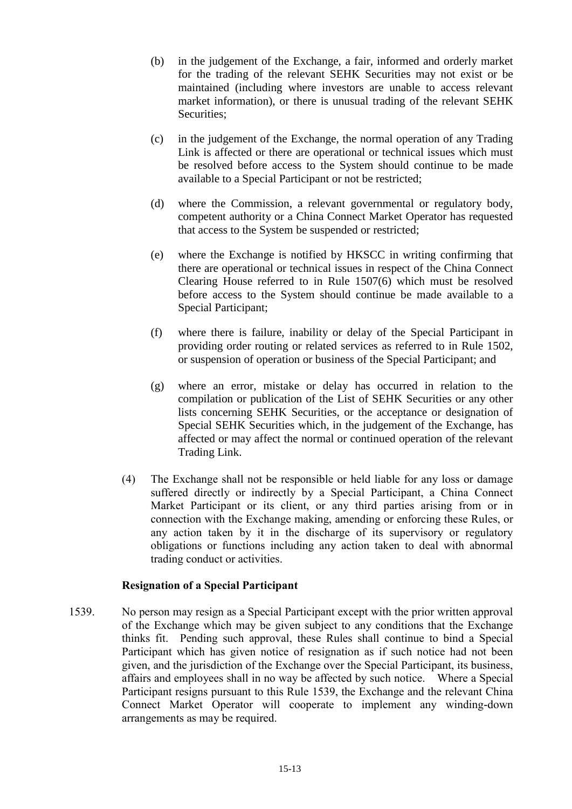- (b) in the judgement of the Exchange, a fair, informed and orderly market for the trading of the relevant SEHK Securities may not exist or be maintained (including where investors are unable to access relevant market information), or there is unusual trading of the relevant SEHK Securities;
- (c) in the judgement of the Exchange, the normal operation of any Trading Link is affected or there are operational or technical issues which must be resolved before access to the System should continue to be made available to a Special Participant or not be restricted;
- (d) where the Commission, a relevant governmental or regulatory body, competent authority or a China Connect Market Operator has requested that access to the System be suspended or restricted;
- (e) where the Exchange is notified by HKSCC in writing confirming that there are operational or technical issues in respect of the China Connect Clearing House referred to in Rule 1507(6) which must be resolved before access to the System should continue be made available to a Special Participant;
- (f) where there is failure, inability or delay of the Special Participant in providing order routing or related services as referred to in Rule 1502, or suspension of operation or business of the Special Participant; and
- (g) where an error, mistake or delay has occurred in relation to the compilation or publication of the List of SEHK Securities or any other lists concerning SEHK Securities, or the acceptance or designation of Special SEHK Securities which, in the judgement of the Exchange, has affected or may affect the normal or continued operation of the relevant Trading Link.
- (4) The Exchange shall not be responsible or held liable for any loss or damage suffered directly or indirectly by a Special Participant, a China Connect Market Participant or its client, or any third parties arising from or in connection with the Exchange making, amending or enforcing these Rules, or any action taken by it in the discharge of its supervisory or regulatory obligations or functions including any action taken to deal with abnormal trading conduct or activities.

#### **Resignation of a Special Participant**

1539. No person may resign as a Special Participant except with the prior written approval of the Exchange which may be given subject to any conditions that the Exchange thinks fit. Pending such approval, these Rules shall continue to bind a Special Participant which has given notice of resignation as if such notice had not been given, and the jurisdiction of the Exchange over the Special Participant, its business, affairs and employees shall in no way be affected by such notice. Where a Special Participant resigns pursuant to this Rule 1539, the Exchange and the relevant China Connect Market Operator will cooperate to implement any winding-down arrangements as may be required.